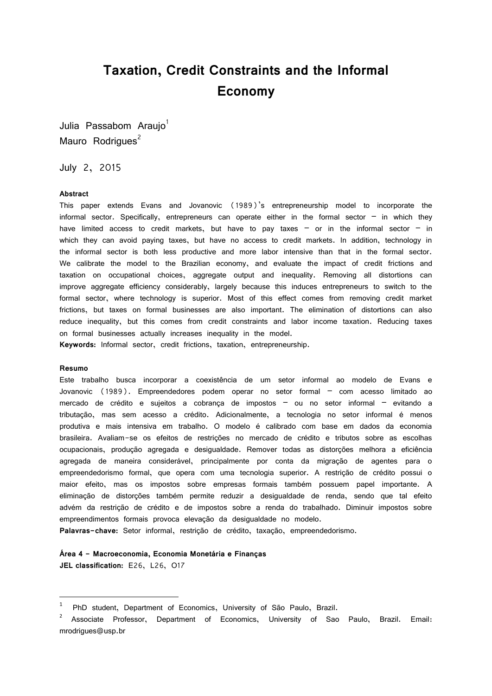# **Taxation, Credit Constraints and the Informal Economy**

Julia Passabom Araujo<sup>1</sup> Mauro Rodrigues<sup>2</sup>

July 2, 2015

#### **Abstract**

This paper extends Evans and Jovanovic (1989)'s entrepreneurship model to incorporate the informal sector. Specifically, entrepreneurs can operate either in the formal sector  $-$  in which they have limited access to credit markets, but have to pay taxes  $-$  or in the informal sector  $-$  in which they can avoid paying taxes, but have no access to credit markets. In addition, technology in the informal sector is both less productive and more labor intensive than that in the formal sector. We calibrate the model to the Brazilian economy, and evaluate the impact of credit frictions and taxation on occupational choices, aggregate output and inequality. Removing all distortions can improve aggregate efficiency considerably, largely because this induces entrepreneurs to switch to the formal sector, where technology is superior. Most of this effect comes from removing credit market frictions, but taxes on formal businesses are also important. The elimination of distortions can also reduce inequality, but this comes from credit constraints and labor income taxation. Reducing taxes on formal businesses actually increases inequality in the model.

**Keywords:** Informal sector, credit frictions, taxation, entrepreneurship.

#### **Resumo**

1

Este trabalho busca incorporar a coexistência de um setor informal ao modelo de Evans e Jovanovic (1989). Empreendedores podem operar no setor formal – com acesso limitado ao mercado de crédito e sujeitos a cobrança de impostos – ou no setor informal – evitando a tributação, mas sem acesso a crédito. Adicionalmente, a tecnologia no setor informal é menos produtiva e mais intensiva em trabalho. O modelo é calibrado com base em dados da economia brasileira. Avaliam-se os efeitos de restrições no mercado de crédito e tributos sobre as escolhas ocupacionais, produção agregada e desigualdade. Remover todas as distorções melhora a eficiência agregada de maneira considerável, principalmente por conta da migração de agentes para o empreendedorismo formal, que opera com uma tecnologia superior. A restrição de crédito possui o maior efeito, mas os impostos sobre empresas formais também possuem papel importante. A eliminação de distorções também permite reduzir a desigualdade de renda, sendo que tal efeito advém da restrição de crédito e de impostos sobre a renda do trabalhado. Diminuir impostos sobre empreendimentos formais provoca elevação da desigualdade no modelo.

**Palavras-chave:** Setor informal, restrição de crédito, taxação, empreendedorismo.

### **Área 4 - Macroeconomia, Economia Monetária e Finanças**

**JEL classification:** E26, L26, O17

<sup>1</sup> PhD student, Department of Economics, University of São Paulo, Brazil.

<sup>2</sup> Associate Professor, Department of Economics, University of Sao Paulo, Brazil. Email: mrodrigues@usp.br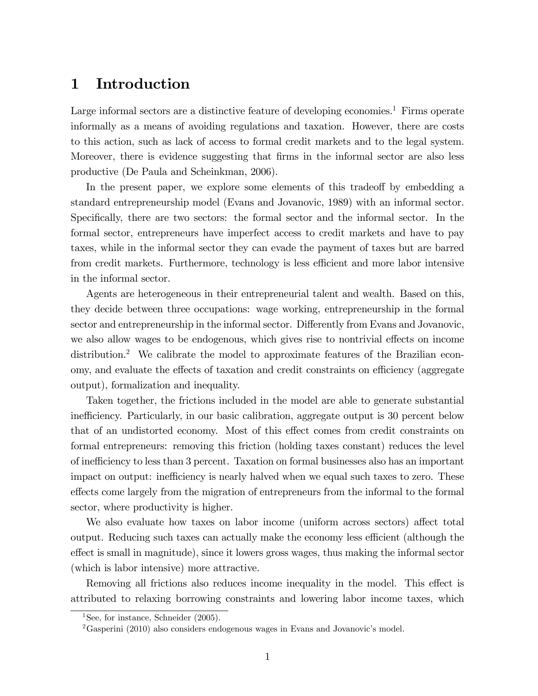# 1 Introduction

Large informal sectors are a distinctive feature of developing economies.<sup>1</sup> Firms operate informally as a means of avoiding regulations and taxation. However, there are costs to this action, such as lack of access to formal credit markets and to the legal system. Moreover, there is evidence suggesting that firms in the informal sector are also less productive (De Paula and Scheinkman, 2006).

In the present paper, we explore some elements of this tradeoff by embedding a standard entrepreneurship model (Evans and Jovanovic, 1989) with an informal sector. Specifically, there are two sectors: the formal sector and the informal sector. In the formal sector, entrepreneurs have imperfect access to credit markets and have to pay taxes, while in the informal sector they can evade the payment of taxes but are barred from credit markets. Furthermore, technology is less efficient and more labor intensive in the informal sector.

Agents are heterogeneous in their entrepreneurial talent and wealth. Based on this, they decide between three occupations: wage working, entrepreneurship in the formal sector and entrepreneurship in the informal sector. Differently from Evans and Jovanovic, we also allow wages to be endogenous, which gives rise to nontrivial effects on income distribution.<sup>2</sup> We calibrate the model to approximate features of the Brazilian economy, and evaluate the effects of taxation and credit constraints on efficiency (aggregate output), formalization and inequality.

Taken together, the frictions included in the model are able to generate substantial inefficiency. Particularly, in our basic calibration, aggregate output is 30 percent below that of an undistorted economy. Most of this effect comes from credit constraints on formal entrepreneurs: removing this friction (holding taxes constant) reduces the level of ine¢ ciency to less than 3 percent. Taxation on formal businesses also has an important impact on output: inefficiency is nearly halved when we equal such taxes to zero. These effects come largely from the migration of entrepreneurs from the informal to the formal sector, where productivity is higher.

We also evaluate how taxes on labor income (uniform across sectors) affect total output. Reducing such taxes can actually make the economy less efficient (although the effect is small in magnitude), since it lowers gross wages, thus making the informal sector (which is labor intensive) more attractive.

Removing all frictions also reduces income inequality in the model. This effect is attributed to relaxing borrowing constraints and lowering labor income taxes, which

<sup>&</sup>lt;sup>1</sup>See, for instance, Schneider  $(2005)$ .

 $2<sup>2</sup>$ Gasperini (2010) also considers endogenous wages in Evans and Jovanovic's model.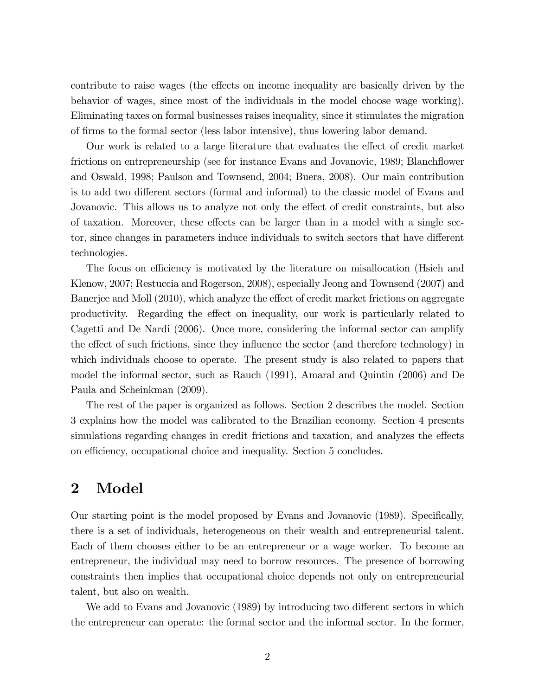contribute to raise wages (the effects on income inequality are basically driven by the behavior of wages, since most of the individuals in the model choose wage working). Eliminating taxes on formal businesses raises inequality, since it stimulates the migration of Örms to the formal sector (less labor intensive), thus lowering labor demand.

Our work is related to a large literature that evaluates the effect of credit market frictions on entrepreneurship (see for instance Evans and Jovanovic, 1989; Blanchflower and Oswald, 1998; Paulson and Townsend, 2004; Buera, 2008). Our main contribution is to add two different sectors (formal and informal) to the classic model of Evans and Jovanovic. This allows us to analyze not only the effect of credit constraints, but also of taxation. Moreover, these effects can be larger than in a model with a single sector, since changes in parameters induce individuals to switch sectors that have different technologies.

The focus on efficiency is motivated by the literature on misallocation (Hsieh and Klenow, 2007; Restuccia and Rogerson, 2008), especially Jeong and Townsend (2007) and Banerjee and Moll (2010), which analyze the effect of credit market frictions on aggregate productivity. Regarding the effect on inequality, our work is particularly related to Cagetti and De Nardi (2006). Once more, considering the informal sector can amplify the effect of such frictions, since they influence the sector (and therefore technology) in which individuals choose to operate. The present study is also related to papers that model the informal sector, such as Rauch (1991), Amaral and Quintin (2006) and De Paula and Scheinkman (2009).

The rest of the paper is organized as follows. Section 2 describes the model. Section 3 explains how the model was calibrated to the Brazilian economy. Section 4 presents simulations regarding changes in credit frictions and taxation, and analyzes the effects on efficiency, occupational choice and inequality. Section 5 concludes.

## 2 Model

Our starting point is the model proposed by Evans and Jovanovic (1989). Specifically, there is a set of individuals, heterogeneous on their wealth and entrepreneurial talent. Each of them chooses either to be an entrepreneur or a wage worker. To become an entrepreneur, the individual may need to borrow resources. The presence of borrowing constraints then implies that occupational choice depends not only on entrepreneurial talent, but also on wealth.

We add to Evans and Jovanovic (1989) by introducing two different sectors in which the entrepreneur can operate: the formal sector and the informal sector. In the former,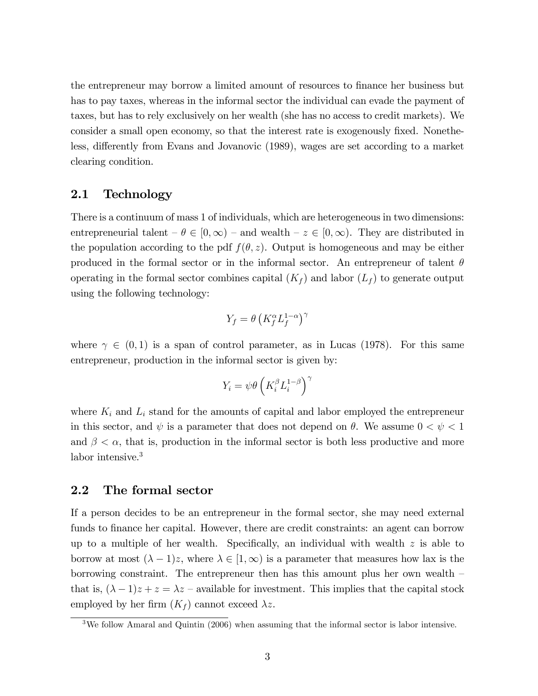the entrepreneur may borrow a limited amount of resources to finance her business but has to pay taxes, whereas in the informal sector the individual can evade the payment of taxes, but has to rely exclusively on her wealth (she has no access to credit markets). We consider a small open economy, so that the interest rate is exogenously fixed. Nonetheless, differently from Evans and Jovanovic (1989), wages are set according to a market clearing condition.

### 2.1 Technology

There is a continuum of mass 1 of individuals, which are heterogeneous in two dimensions: entrepreneurial talent  $-\theta \in [0,\infty)$  – and wealth  $-z \in [0,\infty)$ . They are distributed in the population according to the pdf  $f(\theta, z)$ . Output is homogeneous and may be either produced in the formal sector or in the informal sector. An entrepreneur of talent  $\theta$ operating in the formal sector combines capital  $(K_f)$  and labor  $(L_f)$  to generate output using the following technology:

$$
Y_f = \theta \left( K_f^{\alpha} L_f^{1-\alpha} \right)^{\gamma}
$$

where  $\gamma \in (0,1)$  is a span of control parameter, as in Lucas (1978). For this same entrepreneur, production in the informal sector is given by:

$$
Y_i = \psi \theta \left( K_i^{\beta} L_i^{1-\beta} \right)^{\gamma}
$$

where  $K_i$  and  $L_i$  stand for the amounts of capital and labor employed the entrepreneur in this sector, and  $\psi$  is a parameter that does not depend on  $\theta$ . We assume  $0 < \psi < 1$ and  $\beta < \alpha$ , that is, production in the informal sector is both less productive and more labor intensive.<sup>3</sup>

### 2.2 The formal sector

If a person decides to be an entrepreneur in the formal sector, she may need external funds to finance her capital. However, there are credit constraints: an agent can borrow up to a multiple of her wealth. Specifically, an individual with wealth  $z$  is able to borrow at most  $(\lambda - 1)z$ , where  $\lambda \in [1,\infty)$  is a parameter that measures how lax is the borrowing constraint. The entrepreneur then has this amount plus her own wealth  $\overline{\phantom{a}}$ that is,  $(\lambda - 1)z + z = \lambda z$  – available for investment. This implies that the capital stock employed by her firm  $(K_f)$  cannot exceed  $\lambda z$ .

<sup>3</sup>We follow Amaral and Quintin (2006) when assuming that the informal sector is labor intensive.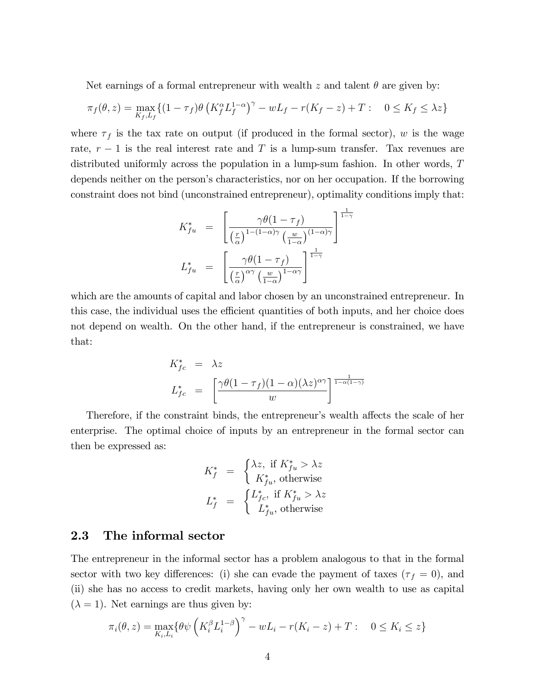Net earnings of a formal entrepreneur with wealth z and talent  $\theta$  are given by:

$$
\pi_f(\theta, z) = \max_{K_f, L_f} \{ (1 - \tau_f) \theta \left( K_f^{\alpha} L_f^{1-\alpha} \right)^{\gamma} - w L_f - r(K_f - z) + T : 0 \le K_f \le \lambda z \}
$$

where  $\tau_f$  is the tax rate on output (if produced in the formal sector), w is the wage rate,  $r-1$  is the real interest rate and T is a lump-sum transfer. Tax revenues are distributed uniformly across the population in a lump-sum fashion. In other words, T depends neither on the person's characteristics, nor on her occupation. If the borrowing constraint does not bind (unconstrained entrepreneur), optimality conditions imply that:

$$
K_{fu}^{*} = \left[ \frac{\gamma \theta (1 - \tau_{f})}{\left(\frac{r}{\alpha}\right)^{1 - (1 - \alpha)\gamma} \left(\frac{w}{1 - \alpha}\right)^{(1 - \alpha)\gamma}} \right]^{\frac{1}{1 - \gamma}}
$$

$$
L_{fu}^{*} = \left[ \frac{\gamma \theta (1 - \tau_{f})}{\left(\frac{r}{\alpha}\right)^{\alpha\gamma} \left(\frac{w}{1 - \alpha}\right)^{1 - \alpha\gamma}} \right]^{\frac{1}{1 - \gamma}}
$$

which are the amounts of capital and labor chosen by an unconstrained entrepreneur. In this case, the individual uses the efficient quantities of both inputs, and her choice does not depend on wealth. On the other hand, if the entrepreneur is constrained, we have that:

$$
K_{fc}^{*} = \lambda z
$$
  

$$
L_{fc}^{*} = \left[ \frac{\gamma \theta (1 - \tau_f)(1 - \alpha)(\lambda z)^{\alpha \gamma}}{w} \right]^{\frac{1}{1 - \alpha(1 - \gamma)}}
$$

Therefore, if the constraint binds, the entrepreneur's wealth affects the scale of her enterprise. The optimal choice of inputs by an entrepreneur in the formal sector can then be expressed as:

$$
K_f^* = \begin{cases} \lambda z, & \text{if } K_{fu}^* > \lambda z \\ K_{fu}^*, & \text{otherwise} \end{cases}
$$
  

$$
L_f^* = \begin{cases} L_{fc}^*, & \text{if } K_{fu}^* > \lambda z \\ L_{fu}^*, & \text{otherwise} \end{cases}
$$

#### 2.3 The informal sector

The entrepreneur in the informal sector has a problem analogous to that in the formal sector with two key differences: (i) she can evade the payment of taxes ( $\tau_f = 0$ ), and (ii) she has no access to credit markets, having only her own wealth to use as capital  $(\lambda = 1)$ . Net earnings are thus given by:

$$
\pi_i(\theta, z) = \max_{K_i, L_i} \{ \theta \psi \left( K_i^{\beta} L_i^{1-\beta} \right)^{\gamma} - w L_i - r(K_i - z) + T : 0 \le K_i \le z \}
$$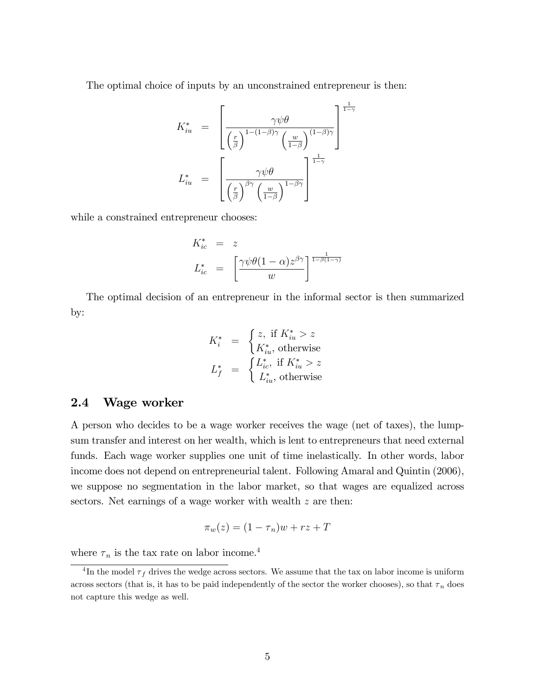The optimal choice of inputs by an unconstrained entrepreneur is then:

$$
K_{iu}^{*} = \left[ \frac{\gamma \psi \theta}{\left(\frac{r}{\beta}\right)^{1 - (1 - \beta)\gamma} \left(\frac{w}{1 - \beta}\right)} \right]^{\frac{1}{1 - \gamma}}
$$

$$
L_{iu}^{*} = \left[ \frac{\gamma \psi \theta}{\left(\frac{r}{\beta}\right)^{\beta \gamma} \left(\frac{w}{1 - \beta}\right)} \right]^{\frac{1}{1 - \gamma}}
$$

while a constrained entrepreneur chooses:

$$
K_{ic}^{*} = z
$$
  

$$
L_{ic}^{*} = \left[\frac{\gamma \psi \theta (1 - \alpha) z^{\beta \gamma}}{w}\right]^{\frac{1}{1 - \beta (1 - \gamma)}}
$$

The optimal decision of an entrepreneur in the informal sector is then summarized by:

$$
K_i^* = \begin{cases} z, & \text{if } K_{iu}^* > z \\ K_{iu}^*, & \text{otherwise} \end{cases}
$$
  

$$
L_f^* = \begin{cases} L_{ic}^*, & \text{if } K_{iu}^* > z \\ L_{iu}^*, & \text{otherwise} \end{cases}
$$

### 2.4 Wage worker

A person who decides to be a wage worker receives the wage (net of taxes), the lumpsum transfer and interest on her wealth, which is lent to entrepreneurs that need external funds. Each wage worker supplies one unit of time inelastically. In other words, labor income does not depend on entrepreneurial talent. Following Amaral and Quintin (2006), we suppose no segmentation in the labor market, so that wages are equalized across sectors. Net earnings of a wage worker with wealth z are then:

$$
\pi_w(z) = (1 - \tau_n)w + rz + T
$$

where  $\tau_n$  is the tax rate on labor income.<sup>4</sup>

<sup>&</sup>lt;sup>4</sup>In the model  $\tau_f$  drives the wedge across sectors. We assume that the tax on labor income is uniform across sectors (that is, it has to be paid independently of the sector the worker chooses), so that  $\tau_n$  does not capture this wedge as well.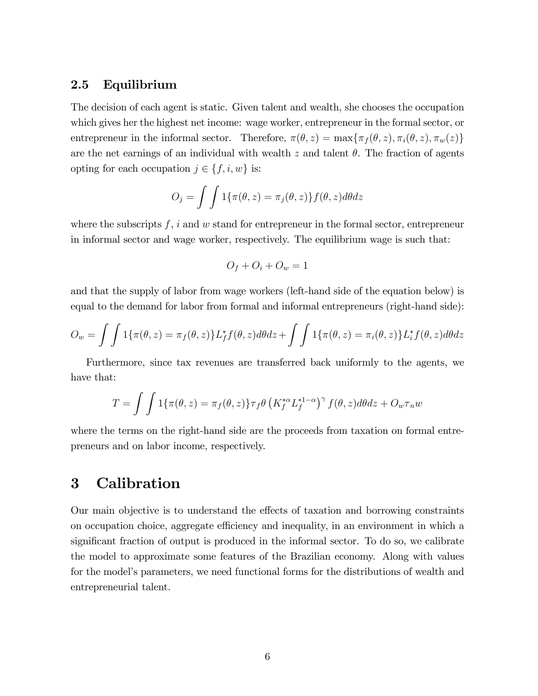### 2.5 Equilibrium

The decision of each agent is static. Given talent and wealth, she chooses the occupation which gives her the highest net income: wage worker, entrepreneur in the formal sector, or entrepreneur in the informal sector. Therefore,  $\pi(\theta, z) = \max{\pi_f(\theta, z), \pi_i(\theta, z), \pi_w(z)}$ are the net earnings of an individual with wealth z and talent  $\theta$ . The fraction of agents opting for each occupation  $j \in \{f, i, w\}$  is:

$$
O_j = \int \int 1\{\pi(\theta, z) = \pi_j(\theta, z)\} f(\theta, z) d\theta dz
$$

where the subscripts  $f, i$  and w stand for entrepreneur in the formal sector, entrepreneur in informal sector and wage worker, respectively. The equilibrium wage is such that:

$$
O_f + O_i + O_w = 1
$$

and that the supply of labor from wage workers (left-hand side of the equation below) is equal to the demand for labor from formal and informal entrepreneurs (right-hand side):

$$
O_w = \int \int 1\{\pi(\theta, z) = \pi_f(\theta, z)\} L_f^* f(\theta, z) d\theta dz + \int \int 1\{\pi(\theta, z) = \pi_i(\theta, z)\} L_f^* f(\theta, z) d\theta dz
$$

Furthermore, since tax revenues are transferred back uniformly to the agents, we have that:

$$
T = \int \int 1\{\pi(\theta, z) = \pi_f(\theta, z)\} \tau_f \theta \left(K_f^{*\alpha} L_f^{*1-\alpha}\right)^{\gamma} f(\theta, z) d\theta dz + O_w \tau_n w
$$

where the terms on the right-hand side are the proceeds from taxation on formal entrepreneurs and on labor income, respectively.

# 3 Calibration

Our main objective is to understand the effects of taxation and borrowing constraints on occupation choice, aggregate efficiency and inequality, in an environment in which a significant fraction of output is produced in the informal sector. To do so, we calibrate the model to approximate some features of the Brazilian economy. Along with values for the model's parameters, we need functional forms for the distributions of wealth and entrepreneurial talent.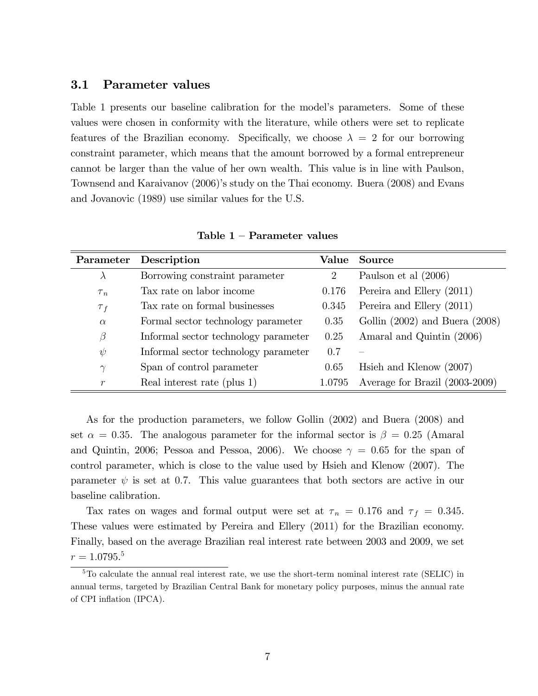#### 3.1 Parameter values

Table 1 presents our baseline calibration for the model's parameters. Some of these values were chosen in conformity with the literature, while others were set to replicate features of the Brazilian economy. Specifically, we choose  $\lambda = 2$  for our borrowing constraint parameter, which means that the amount borrowed by a formal entrepreneur cannot be larger than the value of her own wealth. This value is in line with Paulson, Townsend and Karaivanov (2006)'s study on the Thai economy. Buera (2008) and Evans and Jovanovic (1989) use similar values for the U.S.

|               | Parameter Description                |                             | Value Source                       |
|---------------|--------------------------------------|-----------------------------|------------------------------------|
| $\lambda$     | Borrowing constraint parameter       | $\mathcal{D}_{\mathcal{L}}$ | Paulson et al $(2006)$             |
| $\tau_n$      | Tax rate on labor income             | 0.176                       | Pereira and Ellery (2011)          |
| $\tau_f$      | Tax rate on formal businesses        | 0.345                       | Pereira and Ellery (2011)          |
| $\alpha$      | Formal sector technology parameter   | 0.35                        | Gollin $(2002)$ and Buera $(2008)$ |
| $\beta$       | Informal sector technology parameter | 0.25                        | Amaral and Quintin (2006)          |
| $\psi$        | Informal sector technology parameter | 0.7                         |                                    |
| $\gamma$      | Span of control parameter            | 0.65                        | Hsieh and Klenow $(2007)$          |
| $\mathcal{r}$ | Real interest rate (plus 1)          | 1.0795                      | Average for Brazil (2003-2009)     |

Table  $1$  – Parameter values

As for the production parameters, we follow Gollin (2002) and Buera (2008) and set  $\alpha = 0.35$ . The analogous parameter for the informal sector is  $\beta = 0.25$  (Amaral and Quintin, 2006; Pessoa and Pessoa, 2006). We choose  $\gamma = 0.65$  for the span of control parameter, which is close to the value used by Hsieh and Klenow (2007). The parameter  $\psi$  is set at 0.7. This value guarantees that both sectors are active in our baseline calibration.

Tax rates on wages and formal output were set at  $\tau_n = 0.176$  and  $\tau_f = 0.345$ . These values were estimated by Pereira and Ellery (2011) for the Brazilian economy. Finally, based on the average Brazilian real interest rate between 2003 and 2009, we set  $r = 1.0795.^5$ 

<sup>&</sup>lt;sup>5</sup>To calculate the annual real interest rate, we use the short-term nominal interest rate (SELIC) in annual terms, targeted by Brazilian Central Bank for monetary policy purposes, minus the annual rate of CPI inflation (IPCA).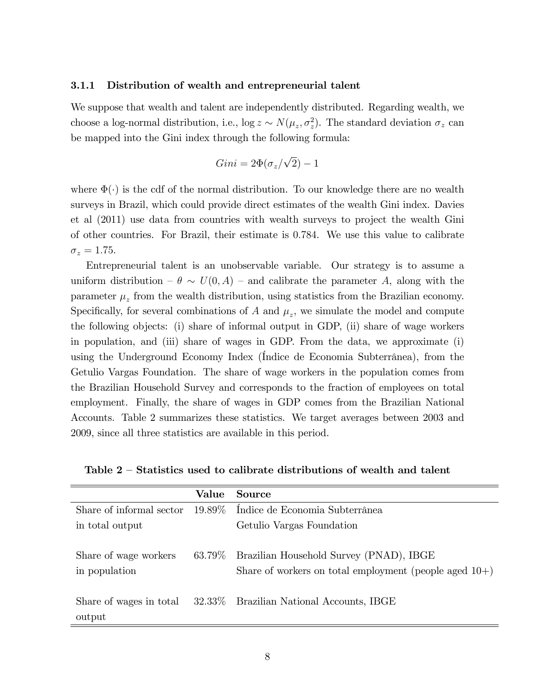#### 3.1.1 Distribution of wealth and entrepreneurial talent

We suppose that wealth and talent are independently distributed. Regarding wealth, we choose a log-normal distribution, i.e.,  $\log z \sim N(\mu_z, \sigma_z^2)$ . The standard deviation  $\sigma_z$  can be mapped into the Gini index through the following formula:

$$
Gini = 2\Phi(\sigma_z/\sqrt{2}) - 1
$$

where  $\Phi(\cdot)$  is the cdf of the normal distribution. To our knowledge there are no wealth surveys in Brazil, which could provide direct estimates of the wealth Gini index. Davies et al (2011) use data from countries with wealth surveys to project the wealth Gini of other countries. For Brazil, their estimate is 0:784. We use this value to calibrate  $\sigma_z = 1.75$ .

Entrepreneurial talent is an unobservable variable. Our strategy is to assume a uniform distribution  $-\theta \sim U(0, A)$  – and calibrate the parameter A, along with the parameter  $\mu_z$  from the wealth distribution, using statistics from the Brazilian economy. Specifically, for several combinations of A and  $\mu_z$ , we simulate the model and compute the following objects: (i) share of informal output in GDP, (ii) share of wage workers in population, and (iii) share of wages in GDP. From the data, we approximate (i) using the Underground Economy Index (Indice de Economia Subterrânea), from the Getulio Vargas Foundation. The share of wage workers in the population comes from the Brazilian Household Survey and corresponds to the fraction of employees on total employment. Finally, the share of wages in GDP comes from the Brazilian National Accounts. Table 2 summarizes these statistics. We target averages between 2003 and 2009, since all three statistics are available in this period.

|  |  | Table $2$ – Statistics used to calibrate distributions of wealth and talent |  |  |
|--|--|-----------------------------------------------------------------------------|--|--|
|  |  |                                                                             |  |  |

|                                        | Value     | Source                                                                                               |
|----------------------------------------|-----------|------------------------------------------------------------------------------------------------------|
| Share of informal sector               |           | 19.89% Índice de Economia Subterrânea                                                                |
| in total output                        |           | Getulio Vargas Foundation                                                                            |
| Share of wage workers<br>in population | $63.79\%$ | Brazilian Household Survey (PNAD), IBGE<br>Share of workers on total employment (people aged $10+$ ) |
| Share of wages in total<br>output      |           | 32.33% Brazilian National Accounts, IBGE                                                             |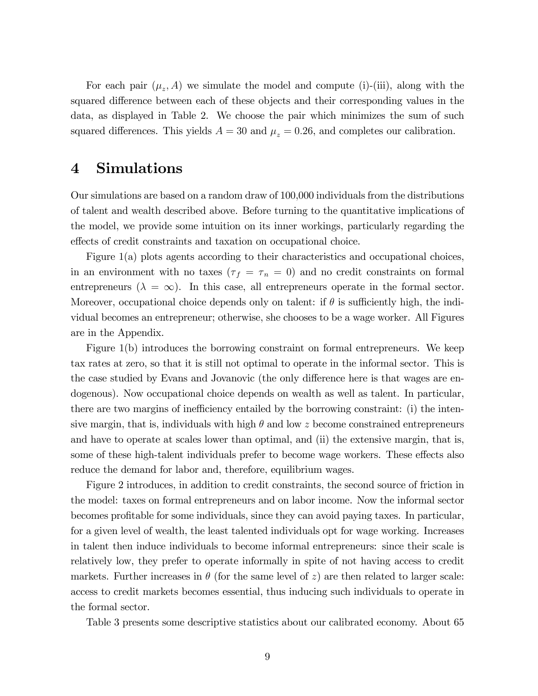For each pair  $(\mu_z, A)$  we simulate the model and compute (i)-(iii), along with the squared difference between each of these objects and their corresponding values in the data, as displayed in Table 2. We choose the pair which minimizes the sum of such squared differences. This yields  $A = 30$  and  $\mu_z = 0.26$ , and completes our calibration.

# 4 Simulations

Our simulations are based on a random draw of 100,000 individuals from the distributions of talent and wealth described above. Before turning to the quantitative implications of the model, we provide some intuition on its inner workings, particularly regarding the effects of credit constraints and taxation on occupational choice.

Figure 1(a) plots agents according to their characteristics and occupational choices, in an environment with no taxes  $(\tau_f = \tau_n = 0)$  and no credit constraints on formal entrepreneurs ( $\lambda = \infty$ ). In this case, all entrepreneurs operate in the formal sector. Moreover, occupational choice depends only on talent: if  $\theta$  is sufficiently high, the individual becomes an entrepreneur; otherwise, she chooses to be a wage worker. All Figures are in the Appendix.

Figure 1(b) introduces the borrowing constraint on formal entrepreneurs. We keep tax rates at zero, so that it is still not optimal to operate in the informal sector. This is the case studied by Evans and Jovanovic (the only difference here is that wages are endogenous). Now occupational choice depends on wealth as well as talent. In particular, there are two margins of inefficiency entailed by the borrowing constraint: (i) the intensive margin, that is, individuals with high  $\theta$  and low z become constrained entrepreneurs and have to operate at scales lower than optimal, and (ii) the extensive margin, that is, some of these high-talent individuals prefer to become wage workers. These effects also reduce the demand for labor and, therefore, equilibrium wages.

Figure 2 introduces, in addition to credit constraints, the second source of friction in the model: taxes on formal entrepreneurs and on labor income. Now the informal sector becomes profitable for some individuals, since they can avoid paying taxes. In particular, for a given level of wealth, the least talented individuals opt for wage working. Increases in talent then induce individuals to become informal entrepreneurs: since their scale is relatively low, they prefer to operate informally in spite of not having access to credit markets. Further increases in  $\theta$  (for the same level of z) are then related to larger scale: access to credit markets becomes essential, thus inducing such individuals to operate in the formal sector.

Table 3 presents some descriptive statistics about our calibrated economy. About 65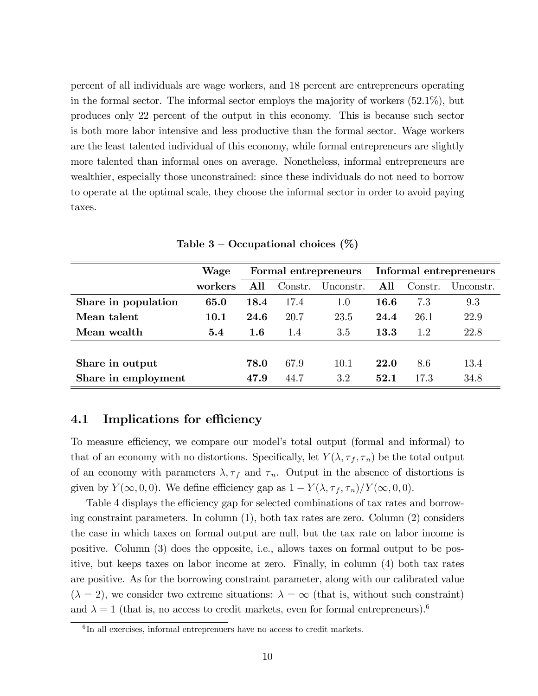percent of all individuals are wage workers, and 18 percent are entrepreneurs operating in the formal sector. The informal sector employs the majority of workers (52.1%), but produces only 22 percent of the output in this economy. This is because such sector is both more labor intensive and less productive than the formal sector. Wage workers are the least talented individual of this economy, while formal entrepreneurs are slightly more talented than informal ones on average. Nonetheless, informal entrepreneurs are wealthier, especially those unconstrained: since these individuals do not need to borrow to operate at the optimal scale, they choose the informal sector in order to avoid paying taxes.

|                     | Wage    |         |         | Formal entrepreneurs | Informal entrepreneurs |         |           |  |
|---------------------|---------|---------|---------|----------------------|------------------------|---------|-----------|--|
|                     | workers | A 11    | Constr. | Unconstr.            | All                    | Constr. | Unconstr. |  |
| Share in population | 65.0    | 18.4    | 17.4    | 1.0                  | 16.6                   | 7.3     | 9.3       |  |
| Mean talent         | 10.1    | 24.6    | 20.7    | 23.5                 | 24.4                   | 26.1    | 22.9      |  |
| Mean wealth         | 5.4     | $1.6\,$ | 1.4     | 3.5                  | 13.3                   | 1.2     | 22.8      |  |
|                     |         |         |         |                      |                        |         |           |  |
| Share in output     |         | 78.0    | 67.9    | 10.1                 | 22.0                   | 8.6     | 13.4      |  |
| Share in employment |         | 47.9    | 44.7    | 3.2                  | 52.1                   | 17.3    | 34.8      |  |

Table  $3$  – Occupational choices  $(\%)$ 

### 4.1 Implications for efficiency

To measure efficiency, we compare our model's total output (formal and informal) to that of an economy with no distortions. Specifically, let  $Y(\lambda, \tau_f, \tau_n)$  be the total output of an economy with parameters  $\lambda, \tau_f$  and  $\tau_n$ . Output in the absence of distortions is given by  $Y(\infty, 0, 0)$ . We define efficiency gap as  $1 - Y(\lambda, \tau_f, \tau_n)/Y(\infty, 0, 0)$ .

Table 4 displays the efficiency gap for selected combinations of tax rates and borrowing constraint parameters. In column (1), both tax rates are zero. Column (2) considers the case in which taxes on formal output are null, but the tax rate on labor income is positive. Column (3) does the opposite, i.e., allows taxes on formal output to be positive, but keeps taxes on labor income at zero. Finally, in column (4) both tax rates are positive. As for the borrowing constraint parameter, along with our calibrated value  $(\lambda = 2)$ , we consider two extreme situations:  $\lambda = \infty$  (that is, without such constraint) and  $\lambda = 1$  (that is, no access to credit markets, even for formal entrepreneurs).<sup>6</sup>

 ${}^{6}$ In all exercises, informal entreprenuers have no access to credit markets.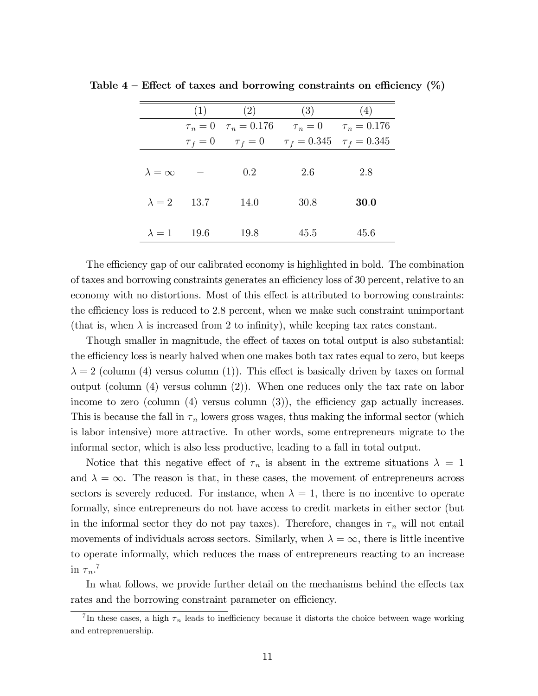|                    | (1)        | (3)<br>(2)                        |                                   | (4)  |
|--------------------|------------|-----------------------------------|-----------------------------------|------|
|                    |            | $\tau_n = 0 \quad \tau_n = 0.176$ | $\tau_n = 0$ $\tau_n = 0.176$     |      |
|                    | $\tau_f=0$ | $\tau_f = 0$                      | $\tau_f = 0.345$ $\tau_f = 0.345$ |      |
|                    |            |                                   |                                   |      |
| $\lambda = \infty$ |            | 0.2                               | 2.6                               | 2.8  |
|                    |            |                                   |                                   |      |
| $\lambda = 2$      | 13.7       | 14.0                              | 30.8                              | 30.0 |
|                    |            |                                   |                                   |      |
| $\lambda = 1$ 19.6 |            | 19.8                              | 45.5                              | 45.6 |

Table  $4$  – Effect of taxes and borrowing constraints on efficiency (%)

The efficiency gap of our calibrated economy is highlighted in bold. The combination of taxes and borrowing constraints generates an efficiency loss of 30 percent, relative to an economy with no distortions. Most of this effect is attributed to borrowing constraints: the efficiency loss is reduced to 2.8 percent, when we make such constraint unimportant (that is, when  $\lambda$  is increased from 2 to infinity), while keeping tax rates constant.

Though smaller in magnitude, the effect of taxes on total output is also substantial: the efficiency loss is nearly halved when one makes both tax rates equal to zero, but keeps  $\lambda = 2$  (column (4) versus column (1)). This effect is basically driven by taxes on formal output (column (4) versus column (2)). When one reduces only the tax rate on labor income to zero (column  $(4)$  versus column  $(3)$ ), the efficiency gap actually increases. This is because the fall in  $\tau_n$  lowers gross wages, thus making the informal sector (which is labor intensive) more attractive. In other words, some entrepreneurs migrate to the informal sector, which is also less productive, leading to a fall in total output.

Notice that this negative effect of  $\tau_n$  is absent in the extreme situations  $\lambda = 1$ and  $\lambda = \infty$ . The reason is that, in these cases, the movement of entrepreneurs across sectors is severely reduced. For instance, when  $\lambda = 1$ , there is no incentive to operate formally, since entrepreneurs do not have access to credit markets in either sector (but in the informal sector they do not pay taxes). Therefore, changes in  $\tau_n$  will not entail movements of individuals across sectors. Similarly, when  $\lambda = \infty$ , there is little incentive to operate informally, which reduces the mass of entrepreneurs reacting to an increase in  $\tau_n$ .<sup>7</sup>

In what follows, we provide further detail on the mechanisms behind the effects tax rates and the borrowing constraint parameter on efficiency.

<sup>&</sup>lt;sup>7</sup>In these cases, a high  $\tau_n$  leads to inefficiency because it distorts the choice between wage working and entreprenuership.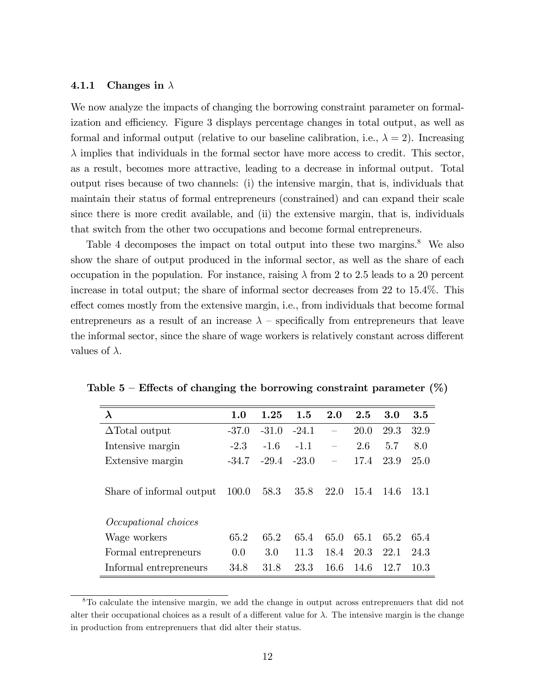#### 4.1.1 Changes in  $\lambda$

We now analyze the impacts of changing the borrowing constraint parameter on formalization and efficiency. Figure 3 displays percentage changes in total output, as well as formal and informal output (relative to our baseline calibration, i.e.,  $\lambda = 2$ ). Increasing  $\lambda$  implies that individuals in the formal sector have more access to credit. This sector, as a result, becomes more attractive, leading to a decrease in informal output. Total output rises because of two channels: (i) the intensive margin, that is, individuals that maintain their status of formal entrepreneurs (constrained) and can expand their scale since there is more credit available, and (ii) the extensive margin, that is, individuals that switch from the other two occupations and become formal entrepreneurs.

Table 4 decomposes the impact on total output into these two margins.<sup>8</sup> We also show the share of output produced in the informal sector, as well as the share of each occupation in the population. For instance, raising  $\lambda$  from 2 to 2.5 leads to a 20 percent increase in total output; the share of informal sector decreases from 22 to 15.4%. This effect comes mostly from the extensive margin, i.e., from individuals that become formal entrepreneurs as a result of an increase  $\lambda$  – specifically from entrepreneurs that leave the informal sector, since the share of wage workers is relatively constant across different values of  $\lambda$ .

| $\lambda$                   | 1.0     | 1.25    | 1.5     | 2.0  | 2.5  | 3.0   | 3.5   |
|-----------------------------|---------|---------|---------|------|------|-------|-------|
| $\Delta$ Total output       | $-37.0$ | $-31.0$ | $-24.1$ |      | 20.0 | 29.3  | 32.9  |
| Intensive margin            | $-2.3$  | $-1.6$  | $-1.1$  |      | 2.6  | 5.7   | 8.0   |
| Extensive margin            | $-34.7$ | $-29.4$ | $-23.0$ |      | 17.4 | 23.9  | 25.0  |
|                             |         |         |         |      |      |       |       |
| Share of informal output    | 100.0   | 58.3    | 35.8    | 22.0 | 15.4 | -14.6 | -13.1 |
|                             |         |         |         |      |      |       |       |
| <i>Occupational choices</i> |         |         |         |      |      |       |       |
| Wage workers                | 65.2    | 65.2    | 65.4    | 65.0 | 65.1 | 65.2  | 65.4  |
| Formal entrepreneurs        | 0.0     | 3.0     | 11.3    | 18.4 | 20.3 | 22.1  | 24.3  |
| Informal entrepreneurs      | 34.8    | 31.8    | 23.3    | 16.6 | 14.6 | 12.7  | 10.3  |

Table 5 – Effects of changing the borrowing constraint parameter  $(\%)$ 

<sup>8</sup>To calculate the intensive margin, we add the change in output across entreprenuers that did not alter their occupational choices as a result of a different value for  $\lambda$ . The intensive margin is the change in production from entreprenuers that did alter their status.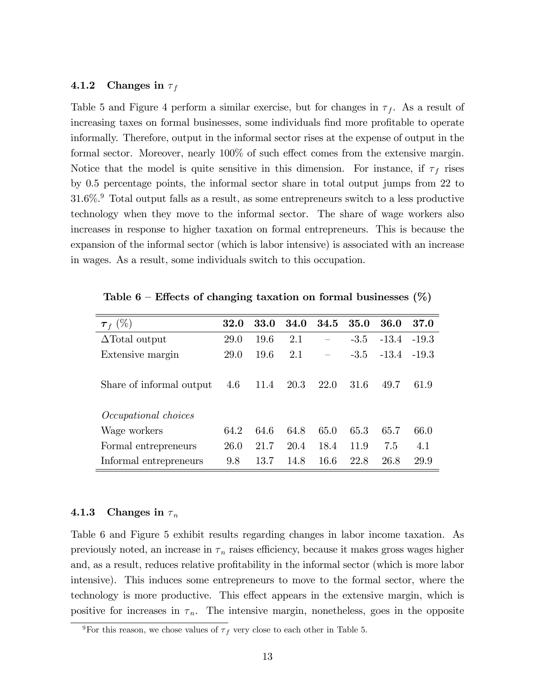#### 4.1.2 Changes in  $\tau_f$

Table 5 and Figure 4 perform a similar exercise, but for changes in  $\tau_f$ . As a result of increasing taxes on formal businesses, some individuals find more profitable to operate informally. Therefore, output in the informal sector rises at the expense of output in the formal sector. Moreover, nearly  $100\%$  of such effect comes from the extensive margin. Notice that the model is quite sensitive in this dimension. For instance, if  $\tau_f$  rises by 0.5 percentage points, the informal sector share in total output jumps from 22 to  $31.6\%$ <sup>9</sup> Total output falls as a result, as some entrepreneurs switch to a less productive technology when they move to the informal sector. The share of wage workers also increases in response to higher taxation on formal entrepreneurs. This is because the expansion of the informal sector (which is labor intensive) is associated with an increase in wages. As a result, some individuals switch to this occupation.

| 32.0        | 33.0 | 34.0 | 34.5        | 35.0   | 36.0    | 37.0    |
|-------------|------|------|-------------|--------|---------|---------|
| 29.0        | 19.6 | 2.1  |             | $-3.5$ | $-13.4$ | $-19.3$ |
| <b>29.0</b> | 19.6 | 2.1  |             | $-3.5$ | $-13.4$ | $-19.3$ |
| 4.6         | 11.4 | 20.3 | <b>22.0</b> | 31.6   | 49.7    | 61.9    |
|             |      |      |             |        |         |         |
| 64.2        | 64.6 | 64.8 | 65.0        | 65.3   | 65.7    | 66.0    |
| 26.0        | 21.7 | 20.4 | 18.4        | 11.9   | 7.5     | 4.1     |
| 9.8         | 13.7 | 14.8 | 16.6        | 22.8   | 26.8    | 29.9    |
|             |      |      |             |        |         |         |

Table 6 – Effects of changing taxation on formal businesses  $(\%)$ 

#### 4.1.3 Changes in  $\tau_n$

Table 6 and Figure 5 exhibit results regarding changes in labor income taxation. As previously noted, an increase in  $\tau_n$  raises efficiency, because it makes gross wages higher and, as a result, reduces relative profitability in the informal sector (which is more labor intensive). This induces some entrepreneurs to move to the formal sector, where the technology is more productive. This effect appears in the extensive margin, which is positive for increases in  $\tau_n$ . The intensive margin, nonetheless, goes in the opposite

<sup>&</sup>lt;sup>9</sup>For this reason, we chose values of  $\tau_f$  very close to each other in Table 5.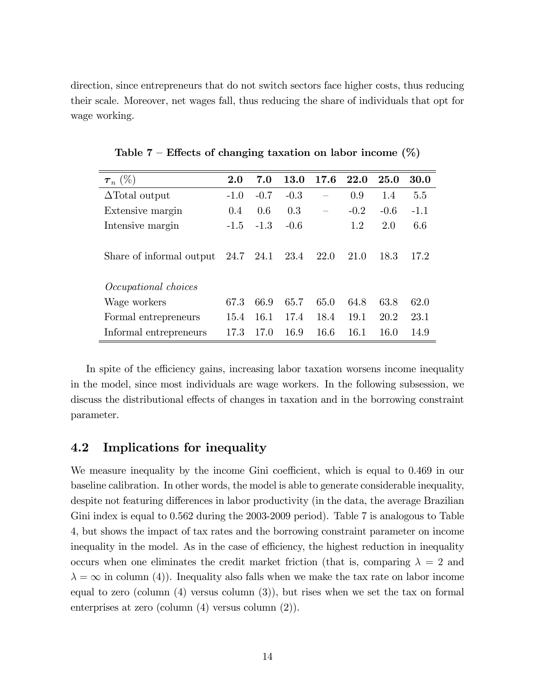direction, since entrepreneurs that do not switch sectors face higher costs, thus reducing their scale. Moreover, net wages fall, thus reducing the share of individuals that opt for wage working.

| $\bm{\tau}_n~(\%)$                   | $2.0\,$ | 7.0    | <b>13.0</b> | 17.6 | 22.0   | 25.0   | 30.0   |
|--------------------------------------|---------|--------|-------------|------|--------|--------|--------|
| $\Delta$ Total output                | $-1.0$  | $-0.7$ | $-0.3$      |      | 0.9    | 1.4    | 5.5    |
| Extensive margin                     | 0.4     | 0.6    | 0.3         |      | $-0.2$ | $-0.6$ | $-1.1$ |
| Intensive margin                     | $-1.5$  | $-1.3$ | $-0.6$      |      | 1.2    | 2.0    | 6.6    |
|                                      |         |        |             |      |        |        |        |
| Share of informal output $24.7$ 24.1 |         |        | 23.4        | 22.0 | 21.0   | 18.3   | 17.2   |
|                                      |         |        |             |      |        |        |        |
| Occupational choices                 |         |        |             |      |        |        |        |
| Wage workers                         | 67.3    | 66.9   | 65.7        | 65.0 | 64.8   | 63.8   | 62.0   |
| Formal entrepreneurs                 | 15.4    | 16.1   | 17.4        | 18.4 | 19.1   | 20.2   | 23.1   |
| Informal entrepreneurs               | 17 3    | 17.0   | 16.9        | 16.6 | 16.1   | 16.0   | 14.9   |

Table  $7$  – Effects of changing taxation on labor income  $(\%)$ 

In spite of the efficiency gains, increasing labor taxation worsens income inequality in the model, since most individuals are wage workers. In the following subsession, we discuss the distributional effects of changes in taxation and in the borrowing constraint parameter.

#### 4.2 Implications for inequality

We measure inequality by the income Gini coefficient, which is equal to 0.469 in our baseline calibration. In other words, the model is able to generate considerable inequality, despite not featuring differences in labor productivity (in the data, the average Brazilian Gini index is equal to 0.562 during the 2003-2009 period). Table 7 is analogous to Table 4, but shows the impact of tax rates and the borrowing constraint parameter on income inequality in the model. As in the case of efficiency, the highest reduction in inequality occurs when one eliminates the credit market friction (that is, comparing  $\lambda = 2$  and  $\lambda = \infty$  in column (4)). Inequality also falls when we make the tax rate on labor income equal to zero (column (4) versus column (3)), but rises when we set the tax on formal enterprises at zero (column (4) versus column (2)).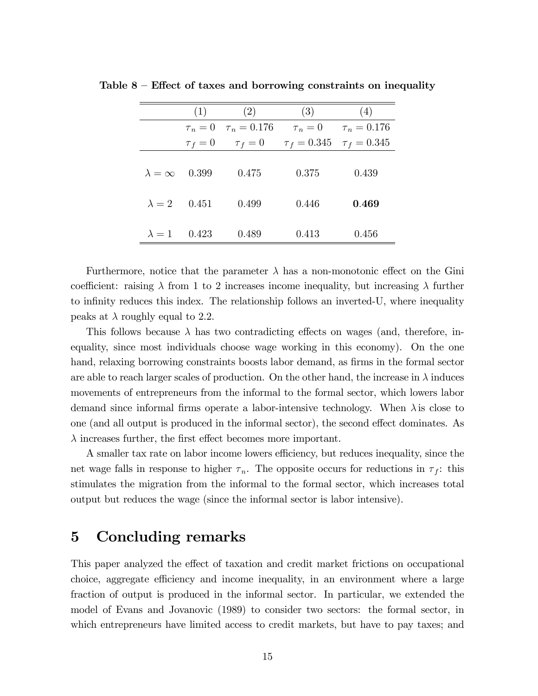|                    | (1)        | (2)              | (3)        | (4)                               |
|--------------------|------------|------------------|------------|-----------------------------------|
|                    | $\tau_n=0$ | $\tau_n = 0.176$ | $\tau_n=0$ | $\tau_n = 0.176$                  |
|                    | $\tau_f=0$ | $\tau_f=0$       |            | $\tau_f = 0.345$ $\tau_f = 0.345$ |
|                    |            |                  |            |                                   |
| $\lambda = \infty$ | 0.399      | 0.475            | 0.375      | 0.439                             |
|                    |            |                  |            |                                   |
| $\lambda = 2$      | 0.451      | 0.499            | 0.446      | 0.469                             |
|                    |            |                  |            |                                   |
| $\lambda = 1$      | 0.423      | 0.489            | 0.413      | 0.456                             |

Table  $8$  – Effect of taxes and borrowing constraints on inequality

Furthermore, notice that the parameter  $\lambda$  has a non-monotonic effect on the Gini coefficient: raising  $\lambda$  from 1 to 2 increases income inequality, but increasing  $\lambda$  further to infinity reduces this index. The relationship follows an inverted-U, where inequality peaks at  $\lambda$  roughly equal to 2.2.

This follows because  $\lambda$  has two contradicting effects on wages (and, therefore, inequality, since most individuals choose wage working in this economy). On the one hand, relaxing borrowing constraints boosts labor demand, as firms in the formal sector are able to reach larger scales of production. On the other hand, the increase in  $\lambda$  induces movements of entrepreneurs from the informal to the formal sector, which lowers labor demand since informal firms operate a labor-intensive technology. When  $\lambda$  is close to one (and all output is produced in the informal sector), the second effect dominates. As  $\lambda$  increases further, the first effect becomes more important.

A smaller tax rate on labor income lowers efficiency, but reduces inequality, since the net wage falls in response to higher  $\tau_n$ . The opposite occurs for reductions in  $\tau_f$ : this stimulates the migration from the informal to the formal sector, which increases total output but reduces the wage (since the informal sector is labor intensive).

## 5 Concluding remarks

This paper analyzed the effect of taxation and credit market frictions on occupational choice, aggregate efficiency and income inequality, in an environment where a large fraction of output is produced in the informal sector. In particular, we extended the model of Evans and Jovanovic (1989) to consider two sectors: the formal sector, in which entrepreneurs have limited access to credit markets, but have to pay taxes; and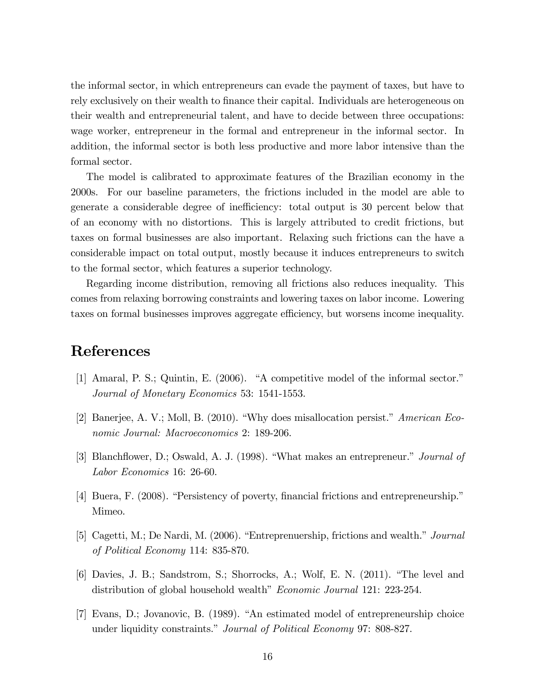the informal sector, in which entrepreneurs can evade the payment of taxes, but have to rely exclusively on their wealth to finance their capital. Individuals are heterogeneous on their wealth and entrepreneurial talent, and have to decide between three occupations: wage worker, entrepreneur in the formal and entrepreneur in the informal sector. In addition, the informal sector is both less productive and more labor intensive than the formal sector.

The model is calibrated to approximate features of the Brazilian economy in the 2000s. For our baseline parameters, the frictions included in the model are able to generate a considerable degree of inefficiency: total output is 30 percent below that of an economy with no distortions. This is largely attributed to credit frictions, but taxes on formal businesses are also important. Relaxing such frictions can the have a considerable impact on total output, mostly because it induces entrepreneurs to switch to the formal sector, which features a superior technology.

Regarding income distribution, removing all frictions also reduces inequality. This comes from relaxing borrowing constraints and lowering taxes on labor income. Lowering taxes on formal businesses improves aggregate efficiency, but worsens income inequality.

# References

- [1] Amaral, P. S.; Quintin, E.  $(2006)$ . "A competitive model of the informal sector." Journal of Monetary Economics 53: 1541-1553.
- [2] Banerjee, A. V.; Moll, B. (2010). "Why does misallocation persist." American Economic Journal: Macroeconomics 2: 189-206.
- [3] Blanchflower, D.; Oswald, A. J. (1998). "What makes an entrepreneur." Journal of Labor Economics 16: 26-60.
- [4] Buera, F. (2008). "Persistency of poverty, financial frictions and entrepreneurship." Mimeo.
- [5] Cagetti, M.; De Nardi, M.  $(2006)$ . "Entreprenuership, frictions and wealth." *Journal* of Political Economy 114: 835-870.
- [6] Davies, J. B.; Sandstrom, S.; Shorrocks, A.; Wolf, E. N. (2011). "The level and distribution of global household wealth" *Economic Journal* 121: 223-254.
- $[7]$  Evans, D.; Jovanovic, B.  $(1989)$ . "An estimated model of entrepreneurship choice under liquidity constraints." Journal of Political Economy 97: 808-827.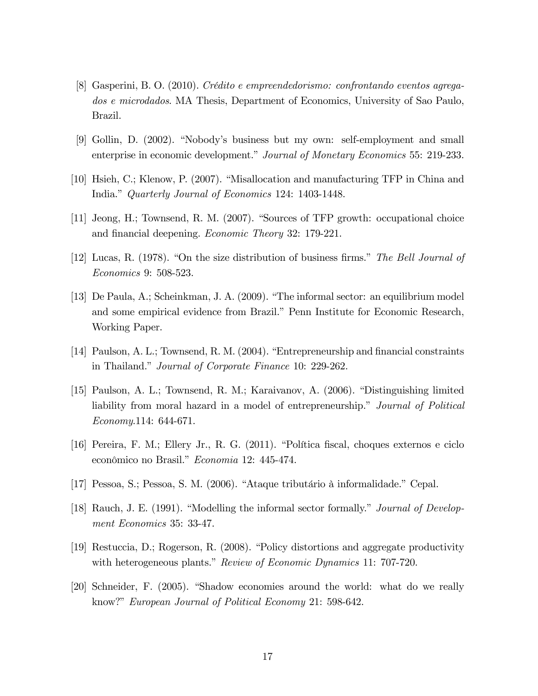- [8] Gasperini, B. O. (2010). Crédito e empreendedorismo: confrontando eventos agregados e microdados. MA Thesis, Department of Economics, University of Sao Paulo, Brazil.
- [9] Gollin, D. (2002). "Nobody's business but my own: self-employment and small enterprise in economic development." Journal of Monetary Economics 55: 219-233.
- [10] Hsieh, C.; Klenow, P. (2007). "Misallocation and manufacturing TFP in China and India." Quarterly Journal of Economics 124: 1403-1448.
- $[11]$  Jeong, H.; Townsend, R. M. (2007). "Sources of TFP growth: occupational choice and financial deepening. *Economic Theory* 32: 179-221.
- [12] Lucas, R. (1978). "On the size distribution of business firms." The Bell Journal of Economics 9: 508-523.
- [13] De Paula, A.; Scheinkman, J. A. (2009). "The informal sector: an equilibrium model and some empirical evidence from Brazil." Penn Institute for Economic Research, Working Paper.
- [14] Paulson, A. L.; Townsend, R. M.  $(2004)$ . "Entrepreneurship and financial constraints in Thailand." Journal of Corporate Finance 10: 229-262.
- [15] Paulson, A. L.; Townsend, R. M.; Karaivanov, A. (2006). "Distinguishing limited liability from moral hazard in a model of entrepreneurship." Journal of Political Economy.114: 644-671.
- [16] Pereira, F. M.; Ellery Jr., R. G. (2011). "Política fiscal, choques externos e ciclo econômico no Brasil." Economia 12: 445-474.
- [17] Pessoa, S.; Pessoa, S. M. (2006). "Ataque tributário à informalidade." Cepal.
- [18] Rauch, J. E.  $(1991)$ . "Modelling the informal sector formally." *Journal of Develop*ment Economics 35: 33-47.
- [19] Restuccia, D.; Rogerson, R.  $(2008)$ . "Policy distortions and aggregate productivity with heterogeneous plants." Review of Economic Dynamics 11: 707-720.
- [20] Schneider, F. (2005). "Shadow economies around the world: what do we really know?" European Journal of Political Economy 21: 598-642.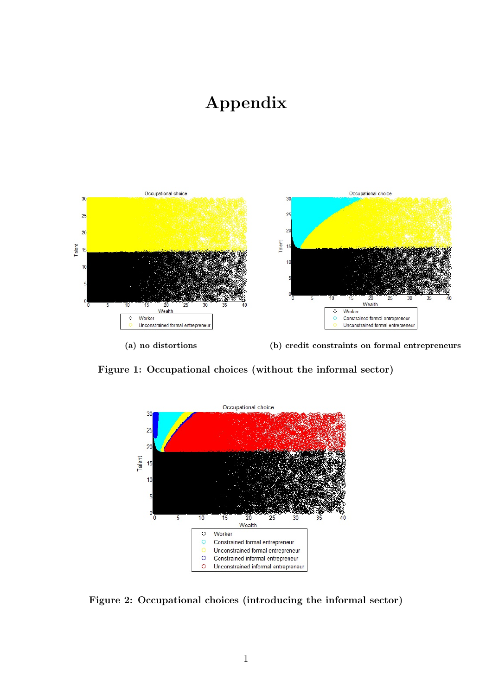# Appendix



(a) no distortions (b) credit constraints on formal entrepreneurs

Figure 1: Occupational choices (without the informal sector)



Figure 2: Occupational choices (introducing the informal sector)